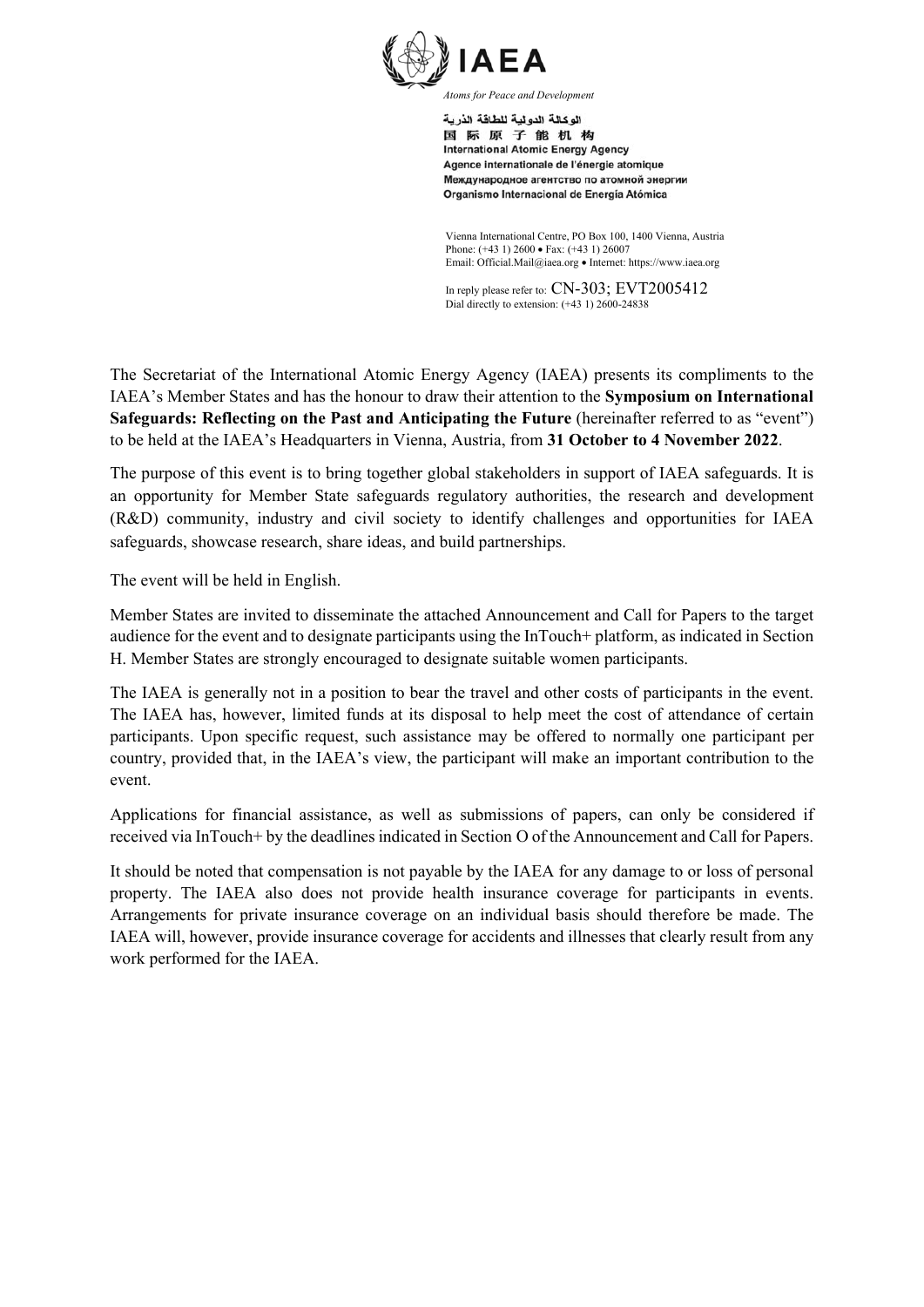

اله كالة الده لبة للطاقة الذرية 国际原子能机构 **International Atomic Energy Agency** Agence internationale de l'énergie atomique Международное агентство по атомной энергии Organismo Internacional de Energía Atómica

Vienna International Centre, PO Box 100, 1400 Vienna, Austria Phone: (+43 1) 2600 • Fax: (+43 1) 26007 Email: Official.Mail@iaea.org · Internet: https://www.iaea.org

In reply please refer to: CN-303; EVT2005412 Dial directly to extension: (+43 1) 2600-24838

The Secretariat of the International Atomic Energy Agency (IAEA) presents its compliments to the IAEA's Member States and has the honour to draw their attention to the **Symposium on International Safeguards: Reflecting on the Past and Anticipating the Future** (hereinafter referred to as "event") to be held at the IAEA's Headquarters in Vienna, Austria, from **31 October to 4 November 2022**.

The purpose of this event is to bring together global stakeholders in support of IAEA safeguards. It is an opportunity for Member State safeguards regulatory authorities, the research and development (R&D) community, industry and civil society to identify challenges and opportunities for IAEA safeguards, showcase research, share ideas, and build partnerships.

The event will be held in English.

Member States are invited to disseminate the attached Announcement and Call for Papers to the target audience for the event and to designate participants using the InTouch+ platform, as indicated in Section H. Member States are strongly encouraged to designate suitable women participants.

The IAEA is generally not in a position to bear the travel and other costs of participants in the event. The IAEA has, however, limited funds at its disposal to help meet the cost of attendance of certain participants. Upon specific request, such assistance may be offered to normally one participant per country, provided that, in the IAEA's view, the participant will make an important contribution to the event.

Applications for financial assistance, as well as submissions of papers, can only be considered if received via InTouch+ by the deadlines indicated in Section O of the Announcement and Call for Papers.

It should be noted that compensation is not payable by the IAEA for any damage to or loss of personal property. The IAEA also does not provide health insurance coverage for participants in events. Arrangements for private insurance coverage on an individual basis should therefore be made. The IAEA will, however, provide insurance coverage for accidents and illnesses that clearly result from any work performed for the IAEA.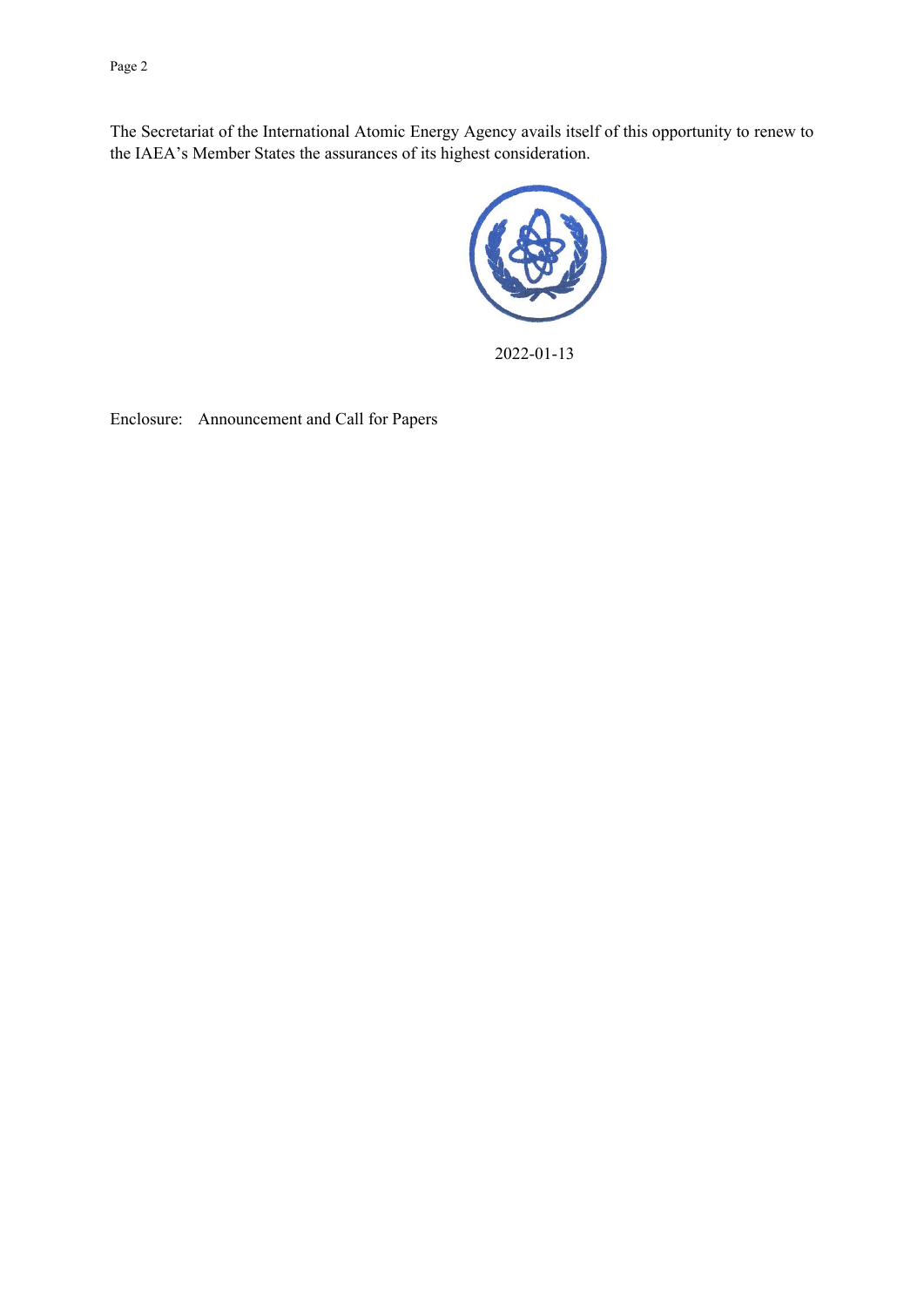Page 2

The Secretariat of the International Atomic Energy Agency avails itself of this opportunity to renew to the IAEA's Member States the assurances of its highest consideration.



2022-01-13

Enclosure: Announcement and Call for Papers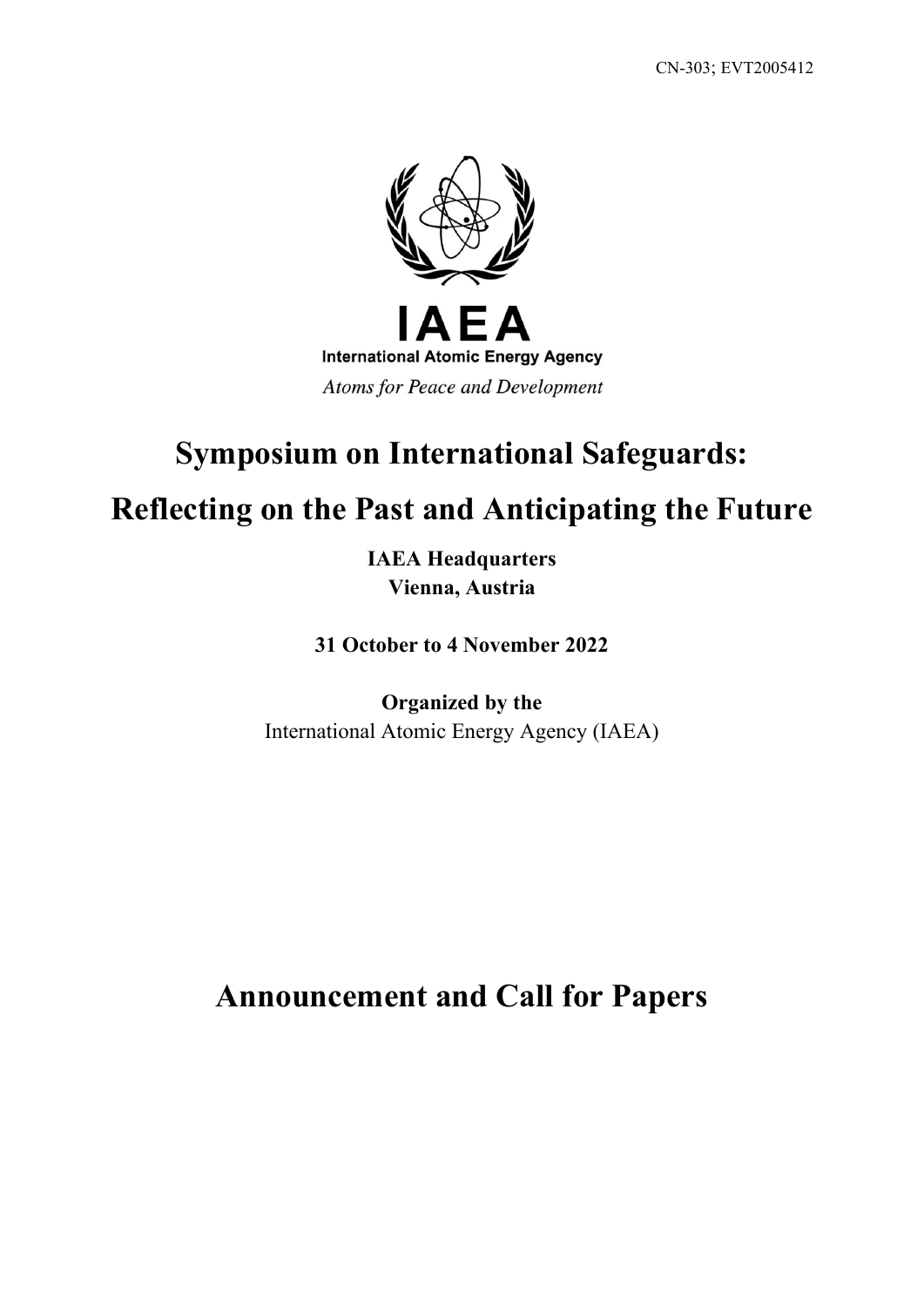

# **Symposium on International Safeguards:**

# **Reflecting on the Past and Anticipating the Future**

**IAEA Headquarters Vienna, Austria**

**31 October to 4 November 2022**

**Organized by the** International Atomic Energy Agency (IAEA)

**Announcement and Call for Papers**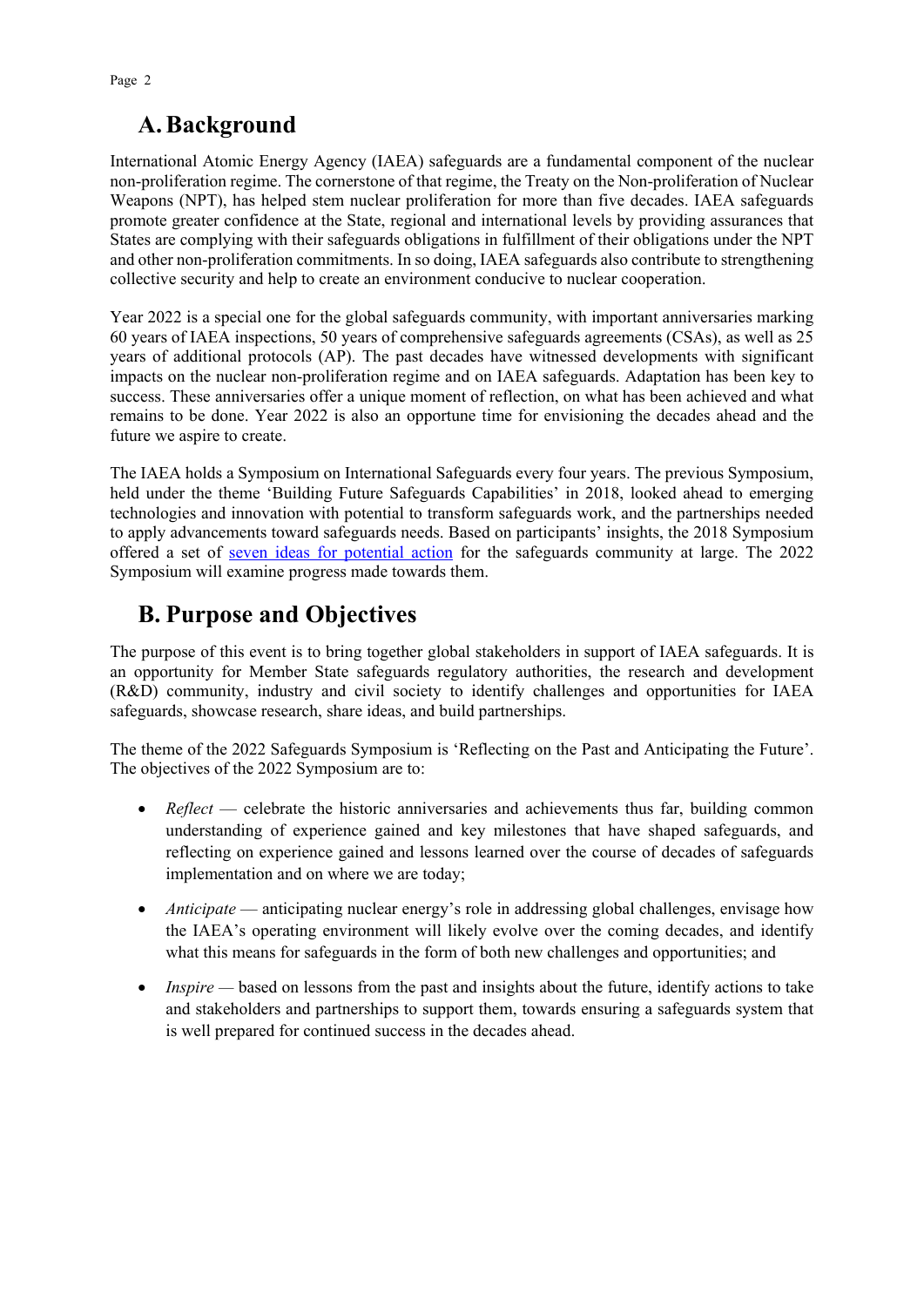# **A.Background**

International Atomic Energy Agency (IAEA) safeguards are a fundamental component of the nuclear non-proliferation regime. The cornerstone of that regime, the Treaty on the Non-proliferation of Nuclear Weapons (NPT), has helped stem nuclear proliferation for more than five decades. IAEA safeguards promote greater confidence at the State, regional and international levels by providing assurances that States are complying with their safeguards obligations in fulfillment of their obligations under the NPT and other non-proliferation commitments. In so doing, IAEA safeguards also contribute to strengthening collective security and help to create an environment conducive to nuclear cooperation.

Year 2022 is a special one for the global safeguards community, with important anniversaries marking 60 years of IAEA inspections, 50 years of comprehensive safeguards agreements (CSAs), as well as 25 years of additional protocols (AP). The past decades have witnessed developments with significant impacts on the nuclear non-proliferation regime and on IAEA safeguards. Adaptation has been key to success. These anniversaries offer a unique moment of reflection, on what has been achieved and what remains to be done. Year 2022 is also an opportune time for envisioning the decades ahead and the future we aspire to create.

The IAEA holds a Symposium on International Safeguards every four years. The previous Symposium, held under the theme 'Building Future Safeguards Capabilities' in 2018, looked ahead to emerging technologies and innovation with potential to transform safeguards work, and the partnerships needed to apply advancements toward safeguards needs. Based on participants' insights, the 2018 Symposium offered a set of [seven ideas for potential action](https://www.iaea.org/sites/default/files/19/07/cn-267-symposium-report.pdf) for the safeguards community at large. The 2022 Symposium will examine progress made towards them.

# **B. Purpose and Objectives**

The purpose of this event is to bring together global stakeholders in support of IAEA safeguards. It is an opportunity for Member State safeguards regulatory authorities, the research and development (R&D) community, industry and civil society to identify challenges and opportunities for IAEA safeguards, showcase research, share ideas, and build partnerships.

The theme of the 2022 Safeguards Symposium is 'Reflecting on the Past and Anticipating the Future'. The objectives of the 2022 Symposium are to:

- *Reflect* celebrate the historic anniversaries and achievements thus far, building common understanding of experience gained and key milestones that have shaped safeguards, and reflecting on experience gained and lessons learned over the course of decades of safeguards implementation and on where we are today;
- *Anticipate* anticipating nuclear energy's role in addressing global challenges, envisage how the IAEA's operating environment will likely evolve over the coming decades, and identify what this means for safeguards in the form of both new challenges and opportunities; and
- *Inspire* based on lessons from the past and insights about the future, identify actions to take and stakeholders and partnerships to support them, towards ensuring a safeguards system that is well prepared for continued success in the decades ahead.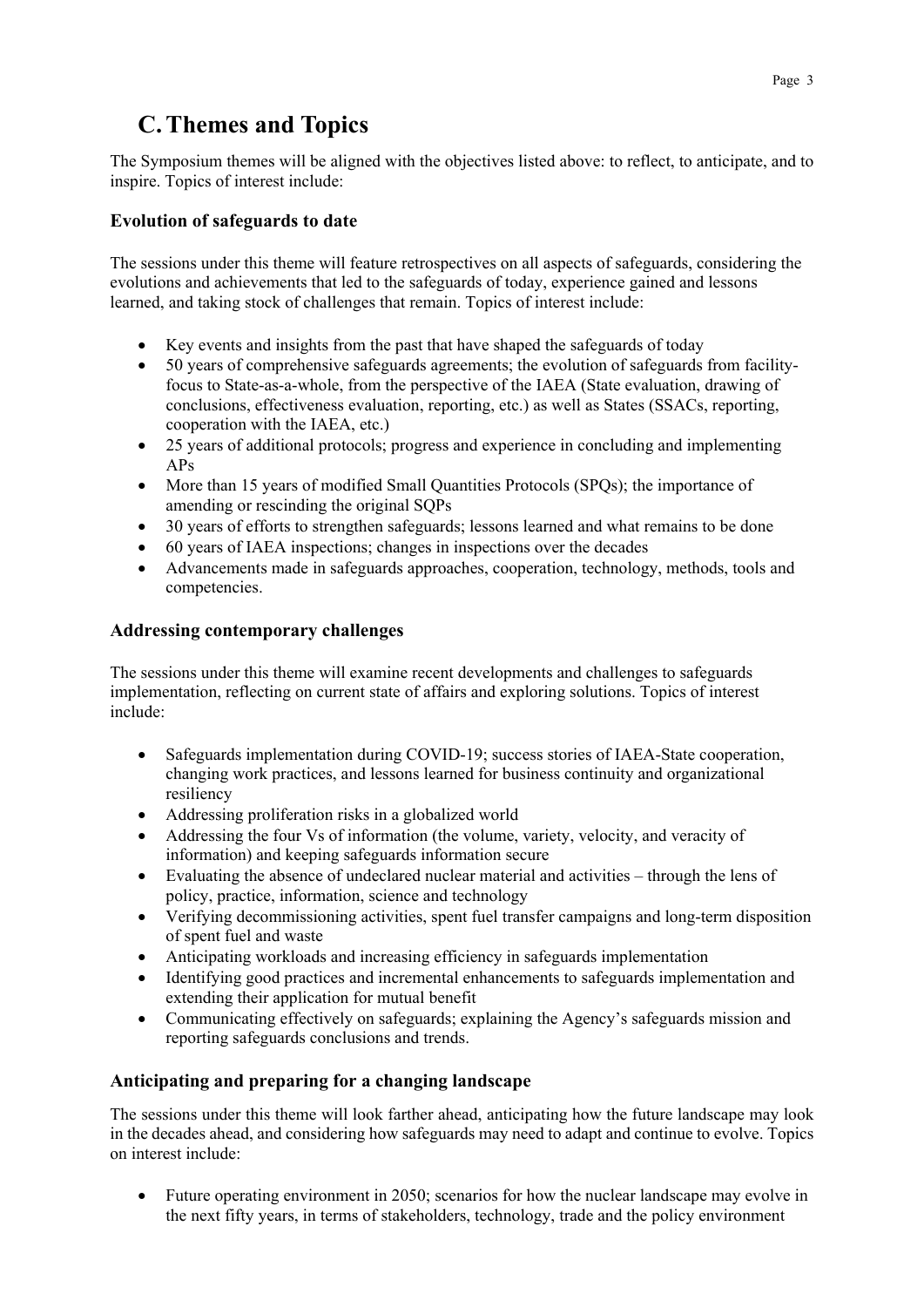# **C.Themes and Topics**

The Symposium themes will be aligned with the objectives listed above: to reflect, to anticipate, and to inspire. Topics of interest include:

### **Evolution of safeguards to date**

The sessions under this theme will feature retrospectives on all aspects of safeguards, considering the evolutions and achievements that led to the safeguards of today, experience gained and lessons learned, and taking stock of challenges that remain. Topics of interest include:

- Key events and insights from the past that have shaped the safeguards of today
- 50 years of comprehensive safeguards agreements; the evolution of safeguards from facilityfocus to State-as-a-whole, from the perspective of the IAEA (State evaluation, drawing of conclusions, effectiveness evaluation, reporting, etc.) as well as States (SSACs, reporting, cooperation with the IAEA, etc.)
- 25 years of additional protocols; progress and experience in concluding and implementing APs
- More than 15 years of modified Small Quantities Protocols (SPOs); the importance of amending or rescinding the original SQPs
- 30 years of efforts to strengthen safeguards; lessons learned and what remains to be done
- 60 years of IAEA inspections; changes in inspections over the decades
- Advancements made in safeguards approaches, cooperation, technology, methods, tools and competencies.

### **Addressing contemporary challenges**

The sessions under this theme will examine recent developments and challenges to safeguards implementation, reflecting on current state of affairs and exploring solutions. Topics of interest include:

- Safeguards implementation during COVID-19; success stories of IAEA-State cooperation, changing work practices, and lessons learned for business continuity and organizational resiliency
- Addressing proliferation risks in a globalized world
- Addressing the four Vs of information (the volume, variety, velocity, and veracity of information) and keeping safeguards information secure
- Evaluating the absence of undeclared nuclear material and activities through the lens of policy, practice, information, science and technology
- Verifying decommissioning activities, spent fuel transfer campaigns and long-term disposition of spent fuel and waste
- Anticipating workloads and increasing efficiency in safeguards implementation
- Identifying good practices and incremental enhancements to safeguards implementation and extending their application for mutual benefit
- Communicating effectively on safeguards; explaining the Agency's safeguards mission and reporting safeguards conclusions and trends.

### **Anticipating and preparing for a changing landscape**

The sessions under this theme will look farther ahead, anticipating how the future landscape may look in the decades ahead, and considering how safeguards may need to adapt and continue to evolve. Topics on interest include:

• Future operating environment in 2050; scenarios for how the nuclear landscape may evolve in the next fifty years, in terms of stakeholders, technology, trade and the policy environment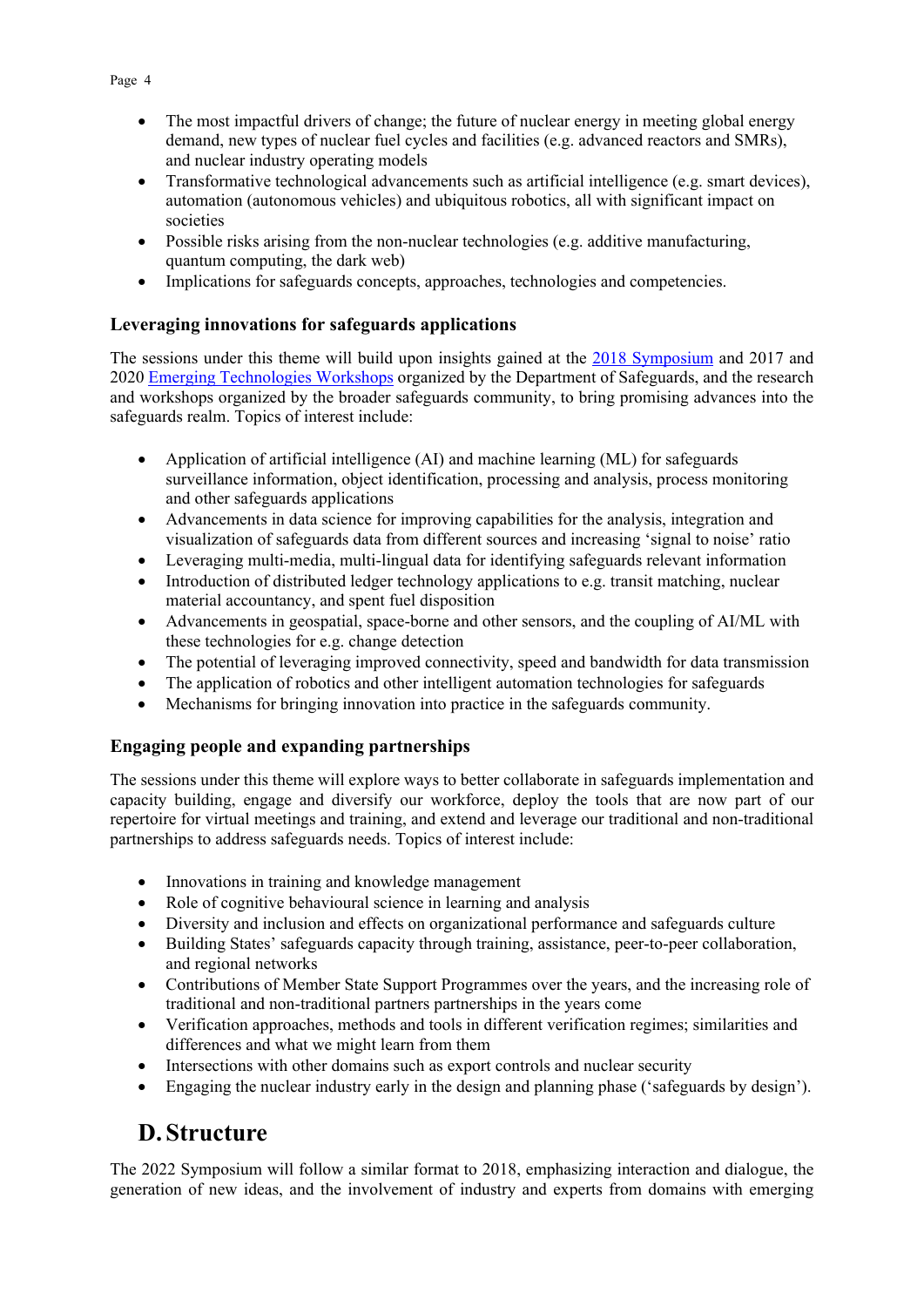- The most impactful drivers of change; the future of nuclear energy in meeting global energy demand, new types of nuclear fuel cycles and facilities (e.g. advanced reactors and SMRs), and nuclear industry operating models
- Transformative technological advancements such as artificial intelligence (e.g. smart devices), automation (autonomous vehicles) and ubiquitous robotics, all with significant impact on societies
- Possible risks arising from the non-nuclear technologies (e.g. additive manufacturing, quantum computing, the dark web)
- Implications for safeguards concepts, approaches, technologies and competencies.

#### **Leveraging innovations for safeguards applications**

The sessions under this theme will build upon insights gained at the [2018 Symposium](https://www.iaea.org/sites/default/files/19/07/cn-267-symposium-report.pdf) and 2017 and 2020 [Emerging Technologies Workshops](https://www.iaea.org/topics/safeguards-implementation/emerging-technologies-workshop) organized by the Department of Safeguards, and the research and workshops organized by the broader safeguards community, to bring promising advances into the safeguards realm. Topics of interest include:

- Application of artificial intelligence (AI) and machine learning (ML) for safeguards surveillance information, object identification, processing and analysis, process monitoring and other safeguards applications
- Advancements in data science for improving capabilities for the analysis, integration and visualization of safeguards data from different sources and increasing 'signal to noise' ratio
- Leveraging multi-media, multi-lingual data for identifying safeguards relevant information
- Introduction of distributed ledger technology applications to e.g. transit matching, nuclear material accountancy, and spent fuel disposition
- Advancements in geospatial, space-borne and other sensors, and the coupling of AI/ML with these technologies for e.g. change detection
- The potential of leveraging improved connectivity, speed and bandwidth for data transmission
- The application of robotics and other intelligent automation technologies for safeguards
- Mechanisms for bringing innovation into practice in the safeguards community.

#### **Engaging people and expanding partnerships**

The sessions under this theme will explore ways to better collaborate in safeguards implementation and capacity building, engage and diversify our workforce, deploy the tools that are now part of our repertoire for virtual meetings and training, and extend and leverage our traditional and non-traditional partnerships to address safeguards needs. Topics of interest include:

- Innovations in training and knowledge management
- Role of cognitive behavioural science in learning and analysis
- Diversity and inclusion and effects on organizational performance and safeguards culture
- Building States' safeguards capacity through training, assistance, peer-to-peer collaboration, and regional networks
- Contributions of Member State Support Programmes over the years, and the increasing role of traditional and non-traditional partners partnerships in the years come
- Verification approaches, methods and tools in different verification regimes; similarities and differences and what we might learn from them
- Intersections with other domains such as export controls and nuclear security
- Engaging the nuclear industry early in the design and planning phase ('safeguards by design').

# **D. Structure**

The 2022 Symposium will follow a similar format to 2018, emphasizing interaction and dialogue, the generation of new ideas, and the involvement of industry and experts from domains with emerging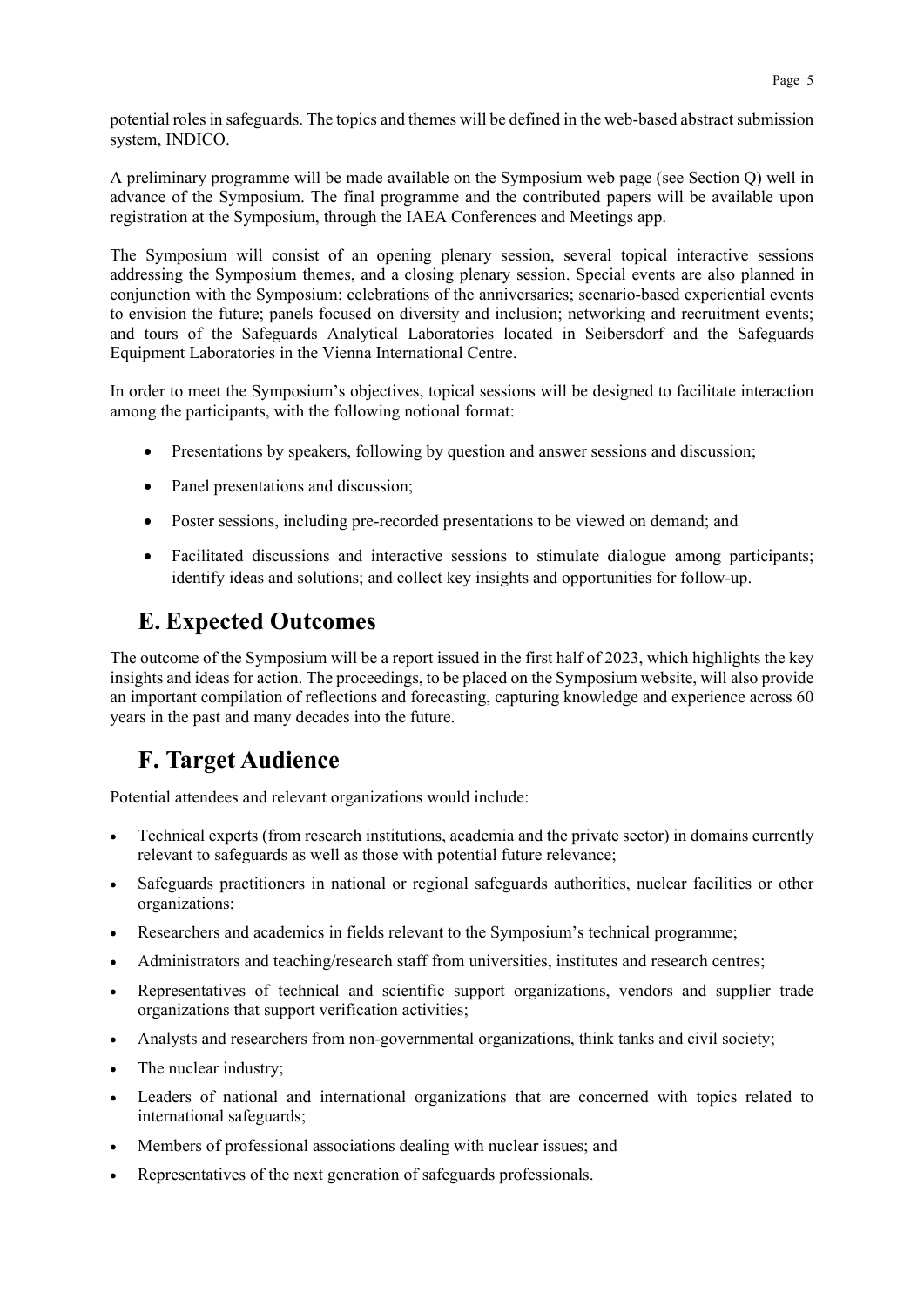potential roles in safeguards. The topics and themes will be defined in the web-based abstract submission system, INDICO.

A preliminary programme will be made available on the Symposium web page (see Section Q) well in advance of the Symposium. The final programme and the contributed papers will be available upon registration at the Symposium, through the IAEA Conferences and Meetings app.

The Symposium will consist of an opening plenary session, several topical interactive sessions addressing the Symposium themes, and a closing plenary session. Special events are also planned in conjunction with the Symposium: celebrations of the anniversaries; scenario-based experiential events to envision the future; panels focused on diversity and inclusion; networking and recruitment events; and tours of the Safeguards Analytical Laboratories located in Seibersdorf and the Safeguards Equipment Laboratories in the Vienna International Centre.

In order to meet the Symposium's objectives, topical sessions will be designed to facilitate interaction among the participants, with the following notional format:

- Presentations by speakers, following by question and answer sessions and discussion;
- Panel presentations and discussion;
- Poster sessions, including pre-recorded presentations to be viewed on demand; and
- Facilitated discussions and interactive sessions to stimulate dialogue among participants; identify ideas and solutions; and collect key insights and opportunities for follow-up.

### **E. Expected Outcomes**

The outcome of the Symposium will be a report issued in the first half of 2023, which highlights the key insights and ideas for action. The proceedings, to be placed on the Symposium website, will also provide an important compilation of reflections and forecasting, capturing knowledge and experience across 60 years in the past and many decades into the future.

### **F. Target Audience**

Potential attendees and relevant organizations would include:

- Technical experts (from research institutions, academia and the private sector) in domains currently relevant to safeguards as well as those with potential future relevance;
- Safeguards practitioners in national or regional safeguards authorities, nuclear facilities or other organizations;
- Researchers and academics in fields relevant to the Symposium's technical programme;
- Administrators and teaching/research staff from universities, institutes and research centres;
- Representatives of technical and scientific support organizations, vendors and supplier trade organizations that support verification activities;
- Analysts and researchers from non-governmental organizations, think tanks and civil society;
- The nuclear industry:
- Leaders of national and international organizations that are concerned with topics related to international safeguards;
- Members of professional associations dealing with nuclear issues; and
- Representatives of the next generation of safeguards professionals.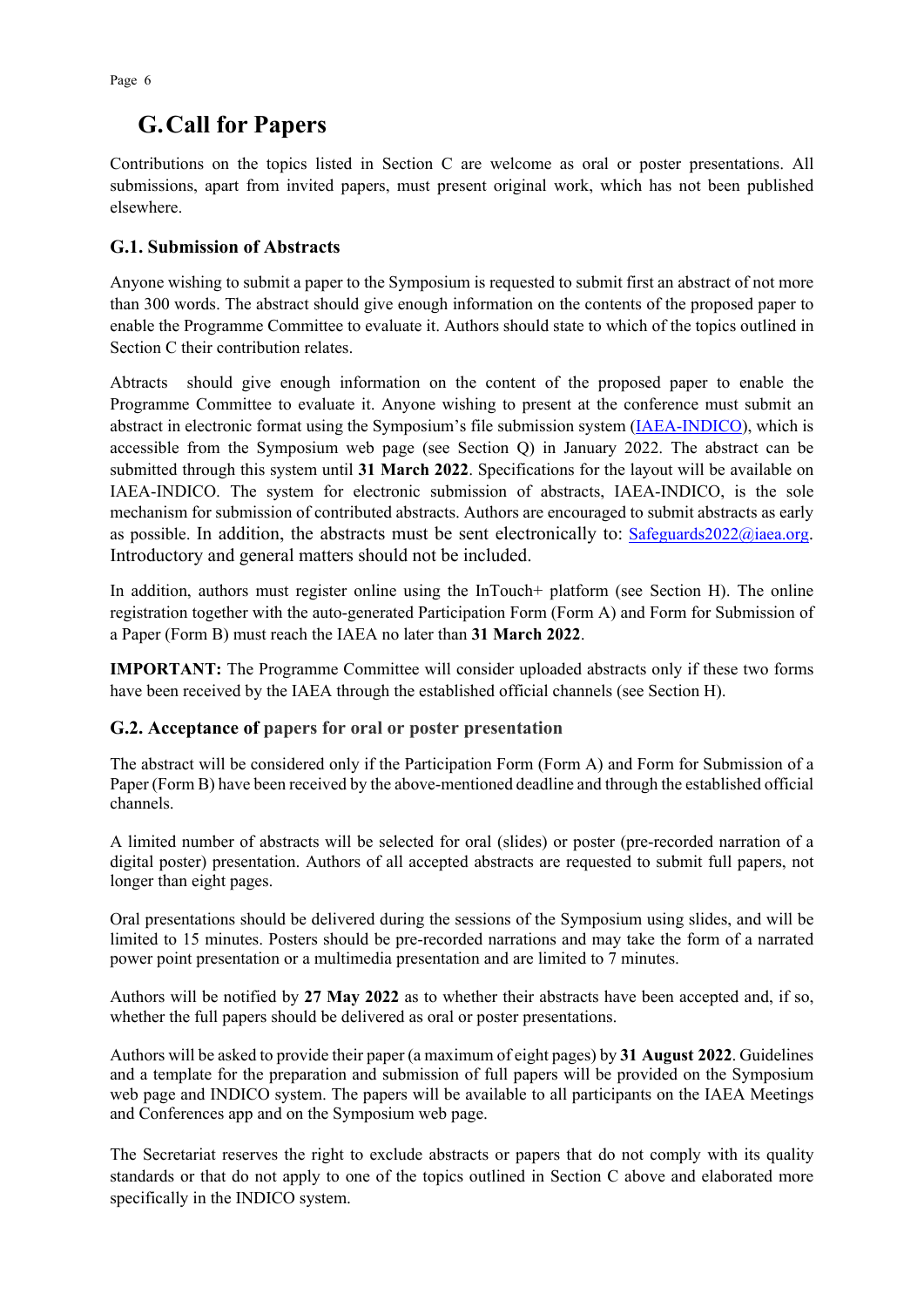### **G.Call for Papers**

Contributions on the topics listed in Section C are welcome as oral or poster presentations. All submissions, apart from invited papers, must present original work, which has not been published elsewhere.

### **G.1. Submission of Abstracts**

Anyone wishing to submit a paper to the Symposium is requested to submit first an abstract of not more than 300 words. The abstract should give enough information on the contents of the proposed paper to enable the Programme Committee to evaluate it. Authors should state to which of the topics outlined in Section C their contribution relates.

Abtracts should give enough information on the content of the proposed paper to enable the Programme Committee to evaluate it. Anyone wishing to present at the conference must submit an abstract in electronic format using the Symposium's file submission system [\(IAEA-INDICO\)](https://conferences.iaea.org/), which is accessible from the Symposium web page (see Section Q) in January 2022. The abstract can be submitted through this system until **31 March 2022**. Specifications for the layout will be available on IAEA-INDICO. The system for electronic submission of abstracts, IAEA-INDICO, is the sole mechanism for submission of contributed abstracts. Authors are encouraged to submit abstracts as early as possible. In addition, the abstracts must be sent electronically to: [Safeguards2022@iaea.org.](mailto:Safeguards2022@iaea.org) Introductory and general matters should not be included.

In addition, authors must register online using the InTouch+ platform (see Section H). The online registration together with the auto-generated Participation Form (Form A) and Form for Submission of a Paper (Form B) must reach the IAEA no later than **31 March 2022**.

**IMPORTANT:** The Programme Committee will consider uploaded abstracts only if these two forms have been received by the IAEA through the established official channels (see Section H).

### **G.2. Acceptance of papers for oral or poster presentation**

The abstract will be considered only if the Participation Form (Form A) and Form for Submission of a Paper (Form B) have been received by the above-mentioned deadline and through the established official channels.

A limited number of abstracts will be selected for oral (slides) or poster (pre-recorded narration of a digital poster) presentation. Authors of all accepted abstracts are requested to submit full papers, not longer than eight pages.

Oral presentations should be delivered during the sessions of the Symposium using slides, and will be limited to 15 minutes. Posters should be pre-recorded narrations and may take the form of a narrated power point presentation or a multimedia presentation and are limited to 7 minutes.

Authors will be notified by **27 May 2022** as to whether their abstracts have been accepted and, if so, whether the full papers should be delivered as oral or poster presentations.

Authors will be asked to provide their paper (a maximum of eight pages) by **31 August 2022**. Guidelines and a template for the preparation and submission of full papers will be provided on the Symposium web page and INDICO system. The papers will be available to all participants on the IAEA Meetings and Conferences app and on the Symposium web page.

The Secretariat reserves the right to exclude abstracts or papers that do not comply with its quality standards or that do not apply to one of the topics outlined in Section C above and elaborated more specifically in the INDICO system.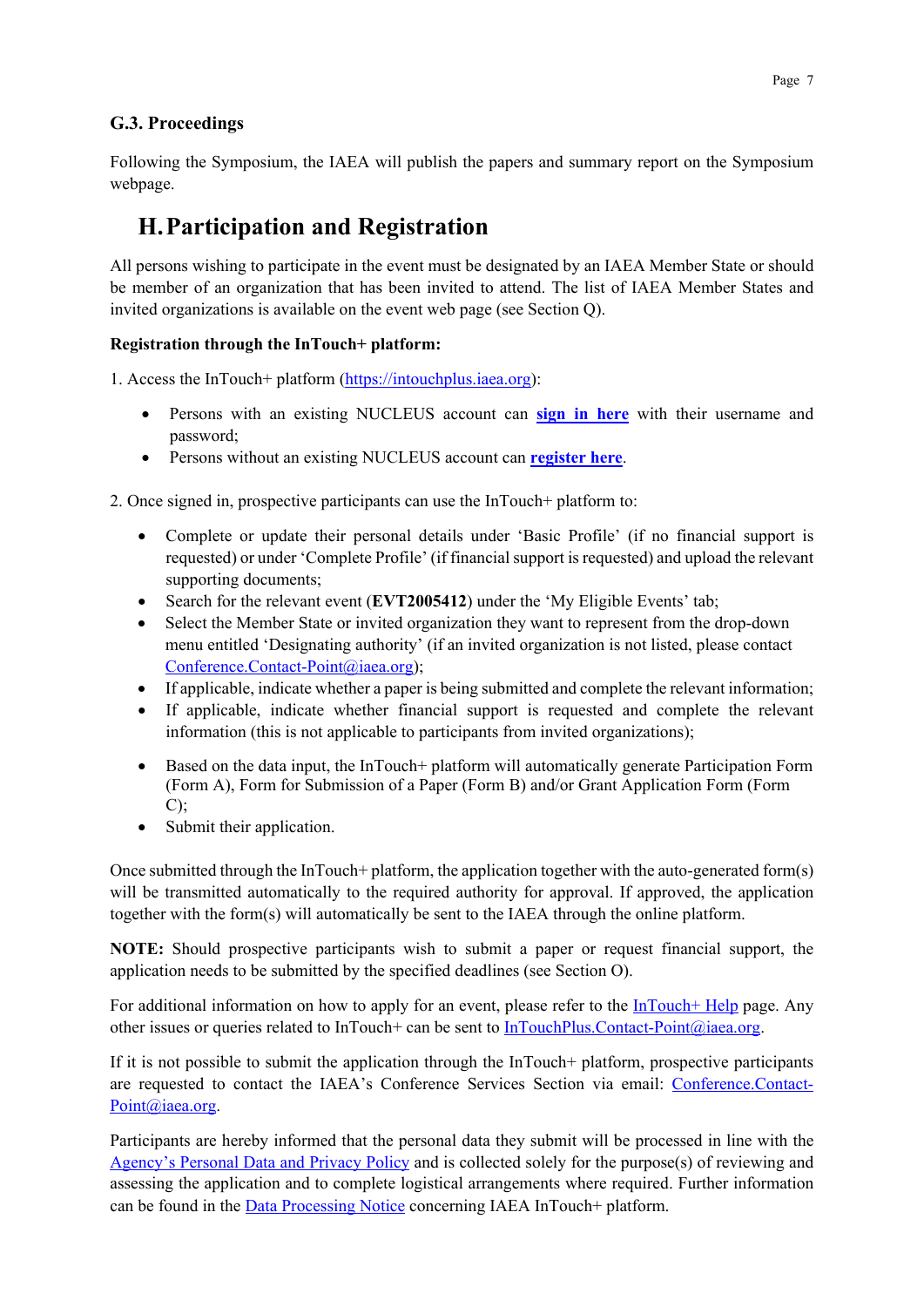### **G.3. Proceedings**

Following the Symposium, the IAEA will publish the papers and summary report on the Symposium webpage.

# **H.Participation and Registration**

All persons wishing to participate in the event must be designated by an IAEA Member State or should be member of an organization that has been invited to attend. The list of IAEA Member States and invited organizations is available on the event web page (see Section Q).

#### **Registration through the InTouch+ platform:**

1. Access the InTouch+ platform [\(https://intouchplus.iaea.org\)](https://intouchplus.iaea.org/):

- Persons with an existing NUCLEUS account can **[sign in](https://intouchplus.iaea.org/) here** with their username and password;
- Persons without an existing NUCLEUS account can **[register](https://www.iaea.org/resources/databases/intouch-) here**.

2. Once signed in, prospective participants can use the InTouch+ platform to:

- Complete or update their personal details under 'Basic Profile' (if no financial support is requested) or under 'Complete Profile' (if financial support is requested) and upload the relevant supporting documents;
- Search for the relevant event (**EVT2005412**) under the 'My Eligible Events' tab;
- Select the Member State or invited organization they want to represent from the drop-down menu entitled 'Designating authority' (if an invited organization is not listed, please contact [Conference.Contact-Point@iaea.org\)](mailto:Conference.Contact-Point@iaea.org);
- If applicable, indicate whether a paper is being submitted and complete the relevant information;
- If applicable, indicate whether financial support is requested and complete the relevant information (this is not applicable to participants from invited organizations);
- Based on the data input, the InTouch+ platform will automatically generate Participation Form (Form A), Form for Submission of a Paper (Form B) and/or Grant Application Form (Form  $C$ );
- Submit their application.

Once submitted through the InTouch+ platform, the application together with the auto-generated form(s) will be transmitted automatically to the required authority for approval. If approved, the application together with the form(s) will automatically be sent to the IAEA through the online platform.

**NOTE:** Should prospective participants wish to submit a paper or request financial support, the application needs to be submitted by the specified deadlines (see Section O).

For additional information on how to apply for an event, please refer to the  $InTouch+ Help$  page. Any other issues or queries related to InTouch+ can be sent to [InTouchPlus.Contact-Point@iaea.org.](mailto:InTouchPlus.Contact-Point@iaea.org)

If it is not possible to submit the application through the InTouch+ platform, prospective participants are requested to contact the IAEA's Conference Services Section via email: [Conference.Contact-](mailto:Conference.Contact-Point@iaea.org)[Point@iaea.org.](mailto:Conference.Contact-Point@iaea.org)

Participants are hereby informed that the personal data they submit will be processed in line with the [Agency's Personal Data and Privacy Policy](https://www.iaea.org/about/privacy-policy#:%7E:text=The%20IAEA%20is%20committed%20to,accountable%20and%20non%2Ddiscriminatory%20manner.&text=The%20Privacy%20Policy%20provides%20the,carrying%20out%20its%20mandated%20activities.) and is collected solely for the purpose(s) of reviewing and assessing the application and to complete logistical arrangements where required. Further information can be found in the [Data Processing Notice](https://nucleus.iaea.org/sites/intouchplushelp/Documents/itp_dpn.pdf) concerning IAEA InTouch+ platform.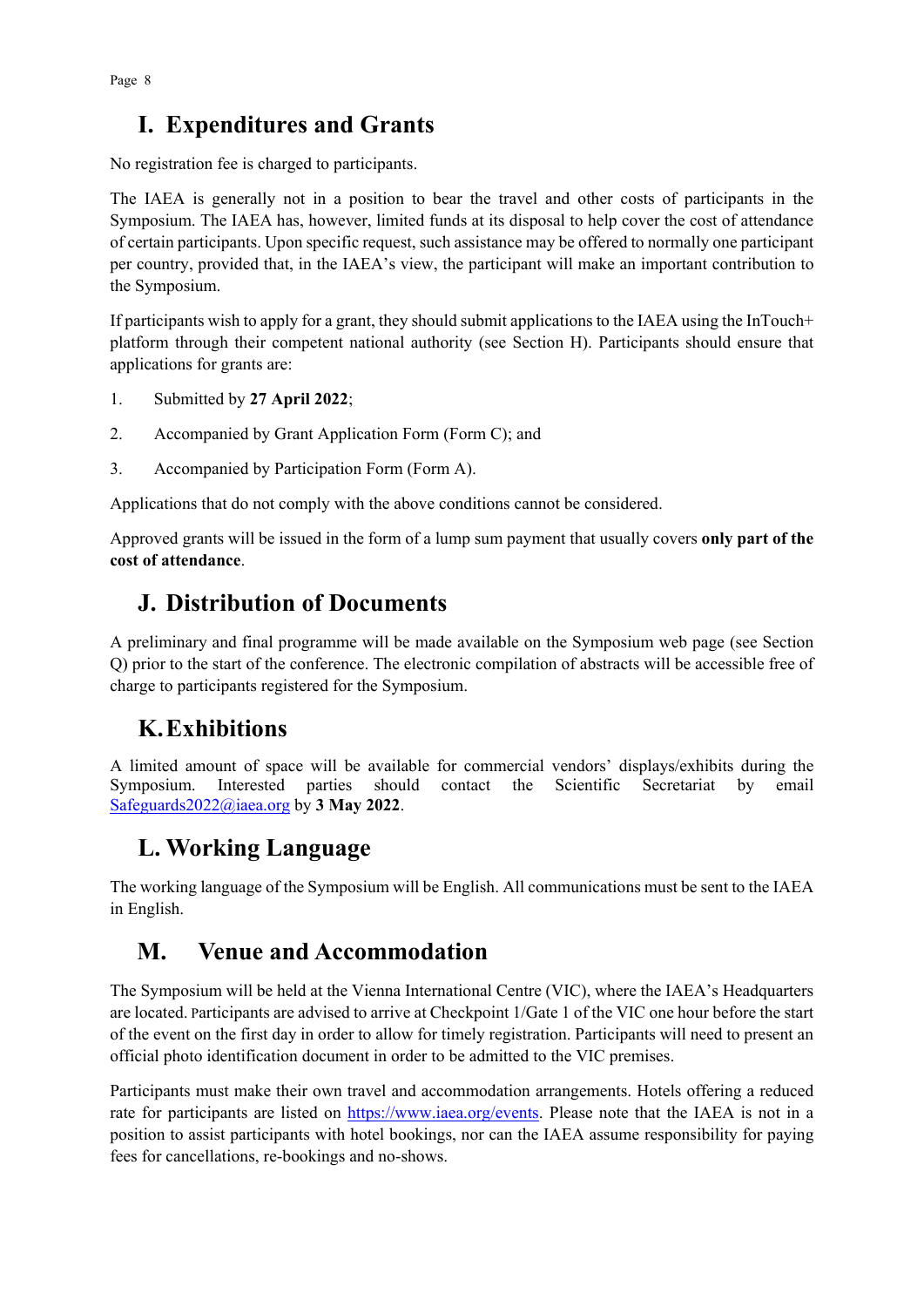# **I. Expenditures and Grants**

No registration fee is charged to participants.

The IAEA is generally not in a position to bear the travel and other costs of participants in the Symposium. The IAEA has, however, limited funds at its disposal to help cover the cost of attendance of certain participants. Upon specific request, such assistance may be offered to normally one participant per country, provided that, in the IAEA's view, the participant will make an important contribution to the Symposium.

If participants wish to apply for a grant, they should submit applications to the IAEA using the InTouch+ platform through their competent national authority (see Section H). Participants should ensure that applications for grants are:

- 1. Submitted by **27 April 2022**;
- 2. Accompanied by Grant Application Form (Form C); and
- 3. Accompanied by Participation Form (Form A).

Applications that do not comply with the above conditions cannot be considered.

Approved grants will be issued in the form of a lump sum payment that usually covers **only part of the cost of attendance**.

### **J. Distribution of Documents**

A preliminary and final programme will be made available on the Symposium web page (see Section Q) prior to the start of the conference. The electronic compilation of abstracts will be accessible free of charge to participants registered for the Symposium.

### **K.Exhibitions**

A limited amount of space will be available for commercial vendors' displays/exhibits during the Symposium. Interested parties should contact the Scientific Secretariat by email [Safeguards2022@iaea.org](mailto:Safeguards2022@iaea.org) by **3 May 2022**.

# **L. Working Language**

The working language of the Symposium will be English. All communications must be sent to the IAEA in English.

## **M. Venue and Accommodation**

The Symposium will be held at the Vienna International Centre (VIC), where the IAEA's Headquarters are located. Participants are advised to arrive at Checkpoint 1/Gate 1 of the VIC one hour before the start of the event on the first day in order to allow for timely registration. Participants will need to present an official photo identification document in order to be admitted to the VIC premises.

Participants must make their own travel and accommodation arrangements. Hotels offering a reduced rate for participants are listed on [https://www.iaea.org/events.](https://www.iaea.org/events) Please note that the IAEA is not in a position to assist participants with hotel bookings, nor can the IAEA assume responsibility for paying fees for cancellations, re-bookings and no-shows.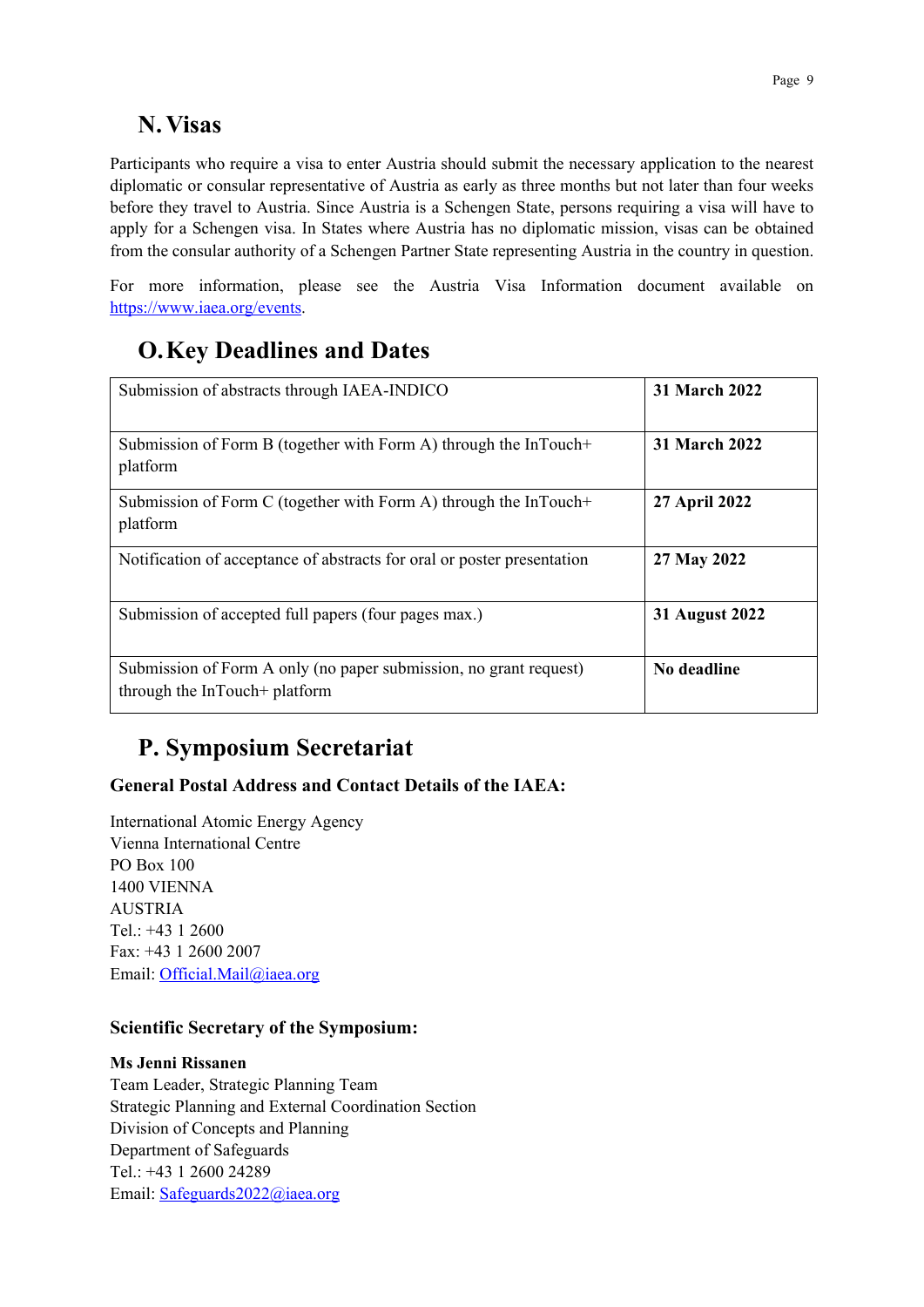## **N. Visas**

Participants who require a visa to enter Austria should submit the necessary application to the nearest diplomatic or consular representative of Austria as early as three months but not later than four weeks before they travel to Austria. Since Austria is a Schengen State, persons requiring a visa will have to apply for a Schengen visa. In States where Austria has no diplomatic mission, visas can be obtained from the consular authority of a Schengen Partner State representing Austria in the country in question.

For more information, please see the Austria Visa Information document available on [https://www.iaea.org/events.](https://www.iaea.org/events)

# **O.Key Deadlines and Dates**

| Submission of abstracts through IAEA-INDICO                                                        | <b>31 March 2022</b> |
|----------------------------------------------------------------------------------------------------|----------------------|
| Submission of Form B (together with Form A) through the InTouch+<br>platform                       | <b>31 March 2022</b> |
| Submission of Form C (together with Form A) through the InTouch+<br>platform                       | 27 April 2022        |
| Notification of acceptance of abstracts for oral or poster presentation                            | 27 May 2022          |
| Submission of accepted full papers (four pages max.)                                               | 31 August 2022       |
| Submission of Form A only (no paper submission, no grant request)<br>through the InTouch+ platform | No deadline          |

# **P. Symposium Secretariat**

### **General Postal Address and Contact Details of the IAEA:**

International Atomic Energy Agency Vienna International Centre PO Box 100 1400 VIENNA AUSTRIA Tel.: +43 1 2600 Fax: +43 1 2600 2007 Email: [Official.Mail@iaea.org](mailto:official.mail@iaea.org)

#### **Scientific Secretary of the Symposium:**

#### **Ms Jenni Rissanen**

Team Leader, Strategic Planning Team Strategic Planning and External Coordination Section Division of Concepts and Planning Department of Safeguards Tel.: +43 1 2600 24289 Email: [Safeguards2022@iaea.org](mailto:Safeguards2022@iaea.org)